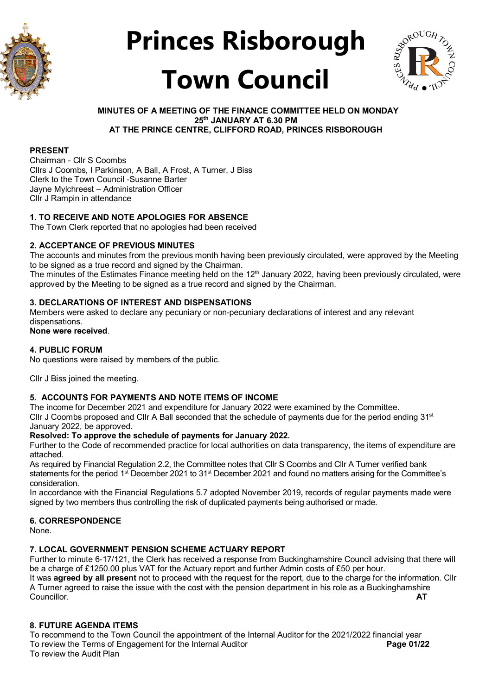



#### **MINUTES OF A MEETING OF THE FINANCE COMMITTEE HELD ON MONDAY 25th JANUARY AT 6.30 PM AT THE PRINCE CENTRE, CLIFFORD ROAD, PRINCES RISBOROUGH**

#### **PRESENT**

Chairman - Cllr S Coombs Cllrs J Coombs, I Parkinson, A Ball, A Frost, A Turner, J Biss Clerk to the Town Council -Susanne Barter Jayne Mylchreest – Administration Officer Cllr J Rampin in attendance

#### **1. TO RECEIVE AND NOTE APOLOGIES FOR ABSENCE**

The Town Clerk reported that no apologies had been received

#### **2. ACCEPTANCE OF PREVIOUS MINUTES**

The accounts and minutes from the previous month having been previously circulated, were approved by the Meeting to be signed as a true record and signed by the Chairman.

The minutes of the Estimates Finance meeting held on the 12<sup>th</sup> January 2022, having been previously circulated, were approved by the Meeting to be signed as a true record and signed by the Chairman.

#### **3. DECLARATIONS OF INTEREST AND DISPENSATIONS**

Members were asked to declare any pecuniary or non-pecuniary declarations of interest and any relevant dispensations.

**None were received**.

#### **4. PUBLIC FORUM**

No questions were raised by members of the public.

Cllr J Biss joined the meeting.

#### **5. ACCOUNTS FOR PAYMENTS AND NOTE ITEMS OF INCOME**

The income for December 2021 and expenditure for January 2022 were examined by the Committee. Cllr J Coombs proposed and Cllr A Ball seconded that the schedule of payments due for the period ending  $31<sup>st</sup>$ January 2022, be approved.

#### **Resolved: To approve the schedule of payments for January 2022.**

Further to the Code of recommended practice for local authorities on data transparency, the items of expenditure are attached.

As required by Financial Regulation 2.2, the Committee notes that Cllr S Coombs and Cllr A Turner verified bank statements for the period 1<sup>st</sup> December 2021 to 31<sup>st</sup> December 2021 and found no matters arising for the Committee's consideration.

In accordance with the Financial Regulations 5.7 adopted November 2019**,** records of regular payments made were signed by two members thus controlling the risk of duplicated payments being authorised or made.

#### **6. CORRESPONDENCE**

None.

#### **7. LOCAL GOVERNMENT PENSION SCHEME ACTUARY REPORT**

Further to minute 6-17/121, the Clerk has received a response from Buckinghamshire Council advising that there will be a charge of £1250.00 plus VAT for the Actuary report and further Admin costs of £50 per hour. It was **agreed by all present** not to proceed with the request for the report, due to the charge for the information. Cllr A Turner agreed to raise the issue with the cost with the pension department in his role as a Buckinghamshire<br>AT Councillor. **AT**

#### **8. FUTURE AGENDA ITEMS**

To recommend to the Town Council the appointment of the Internal Auditor for the 2021/2022 financial year<br>To review the Terms of Engagement for the Internal Auditor To review the Terms of Engagement for the Internal Auditor To review the Audit Plan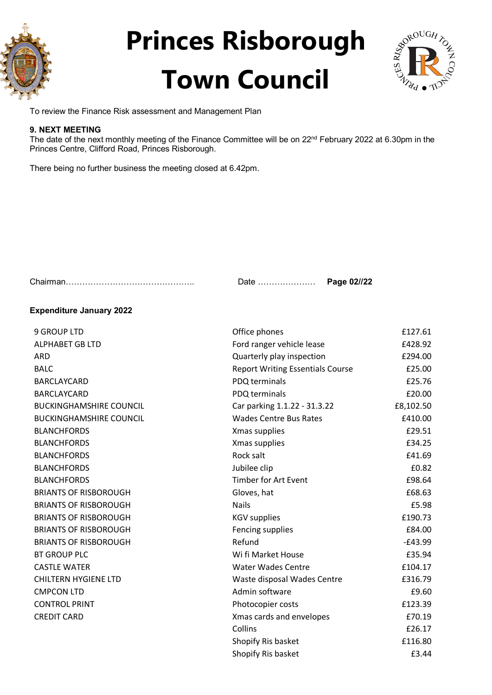



To review the Finance Risk assessment and Management Plan

#### **9. NEXT MEETING**

The date of the next monthly meeting of the Finance Committee will be on 22<sup>nd</sup> February 2022 at 6.30pm in the Princes Centre, Clifford Road, Princes Risborough.

There being no further business the meeting closed at 6.42pm.

Chairman……………………………………….. Date ………………… **Page 02//22**

#### **Expenditure January 2022**

| <b>9 GROUP LTD</b>             | Office phones                           | £127.61   |
|--------------------------------|-----------------------------------------|-----------|
| <b>ALPHABET GB LTD</b>         | Ford ranger vehicle lease               | £428.92   |
| <b>ARD</b>                     | Quarterly play inspection               | £294.00   |
| <b>BALC</b>                    | <b>Report Writing Essentials Course</b> | £25.00    |
| <b>BARCLAYCARD</b>             | PDQ terminals                           | £25.76    |
| <b>BARCLAYCARD</b>             | PDQ terminals                           | £20.00    |
| <b>BUCKINGHAMSHIRE COUNCIL</b> | Car parking 1.1.22 - 31.3.22            | £8,102.50 |
| <b>BUCKINGHAMSHIRE COUNCIL</b> | <b>Wades Centre Bus Rates</b>           | £410.00   |
| <b>BLANCHFORDS</b>             | Xmas supplies                           | £29.51    |
| <b>BLANCHFORDS</b>             | Xmas supplies                           | £34.25    |
| <b>BLANCHFORDS</b>             | Rock salt                               | £41.69    |
| <b>BLANCHFORDS</b>             | Jubilee clip                            | £0.82     |
| <b>BLANCHFORDS</b>             | <b>Timber for Art Event</b>             | £98.64    |
| <b>BRIANTS OF RISBOROUGH</b>   | Gloves, hat                             | £68.63    |
| <b>BRIANTS OF RISBOROUGH</b>   | <b>Nails</b>                            | £5.98     |
| <b>BRIANTS OF RISBOROUGH</b>   | <b>KGV</b> supplies                     | £190.73   |
| <b>BRIANTS OF RISBOROUGH</b>   | Fencing supplies                        | £84.00    |
| <b>BRIANTS OF RISBOROUGH</b>   | Refund                                  | $-£43.99$ |
| <b>BT GROUP PLC</b>            | Wi fi Market House                      | £35.94    |
| <b>CASTLE WATER</b>            | <b>Water Wades Centre</b>               | £104.17   |
| <b>CHILTERN HYGIENE LTD</b>    | Waste disposal Wades Centre             | £316.79   |
| <b>CMPCON LTD</b>              | Admin software                          | £9.60     |
| <b>CONTROL PRINT</b>           | Photocopier costs                       | £123.39   |
| <b>CREDIT CARD</b>             | Xmas cards and envelopes                | £70.19    |
|                                | Collins                                 | £26.17    |
|                                | Shopify Ris basket                      | £116.80   |
|                                | Shopify Ris basket                      | £3.44     |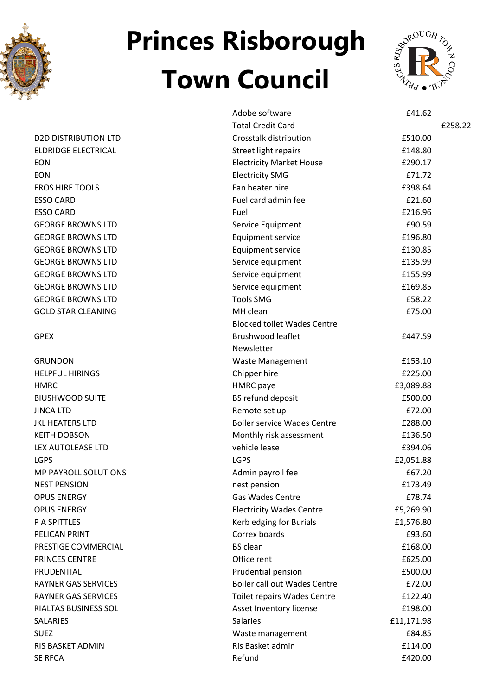



|                             | Adobe software                      | £41.62               |         |
|-----------------------------|-------------------------------------|----------------------|---------|
|                             | <b>Total Credit Card</b>            |                      | £258.22 |
| <b>D2D DISTRIBUTION LTD</b> | Crosstalk distribution              | £510.00              |         |
| <b>ELDRIDGE ELECTRICAL</b>  |                                     |                      |         |
|                             | Street light repairs                | £148.80              |         |
| <b>EON</b>                  | <b>Electricity Market House</b>     | £290.17              |         |
| <b>EON</b>                  | <b>Electricity SMG</b>              | £71.72               |         |
| <b>EROS HIRE TOOLS</b>      | Fan heater hire                     | £398.64              |         |
| <b>ESSO CARD</b>            | Fuel card admin fee                 | £21.60               |         |
| <b>ESSO CARD</b>            | Fuel                                | £216.96              |         |
| <b>GEORGE BROWNS LTD</b>    | Service Equipment                   | £90.59               |         |
| <b>GEORGE BROWNS LTD</b>    | <b>Equipment service</b>            | £196.80              |         |
| <b>GEORGE BROWNS LTD</b>    | Equipment service                   | £130.85              |         |
| <b>GEORGE BROWNS LTD</b>    | Service equipment                   | £135.99              |         |
| <b>GEORGE BROWNS LTD</b>    | Service equipment                   | £155.99              |         |
| <b>GEORGE BROWNS LTD</b>    | Service equipment                   | £169.85              |         |
| <b>GEORGE BROWNS LTD</b>    | <b>Tools SMG</b>                    | £58.22               |         |
| <b>GOLD STAR CLEANING</b>   | MH clean                            | £75.00               |         |
|                             | <b>Blocked toilet Wades Centre</b>  |                      |         |
| <b>GPEX</b>                 | <b>Brushwood leaflet</b>            | £447.59              |         |
|                             | Newsletter                          |                      |         |
| <b>GRUNDON</b>              | <b>Waste Management</b>             | £153.10              |         |
| <b>HELPFUL HIRINGS</b>      | Chipper hire                        | £225.00              |         |
| <b>HMRC</b>                 | <b>HMRC</b> paye                    | £3,089.88            |         |
| <b>BIUSHWOOD SUITE</b>      | BS refund deposit                   | £500.00              |         |
| <b>JINCA LTD</b>            | Remote set up                       | £72.00               |         |
| <b>JKL HEATERS LTD</b>      | <b>Boiler service Wades Centre</b>  | £288.00              |         |
| <b>KEITH DOBSON</b>         | Monthly risk assessment             | £136.50              |         |
| LEX AUTOLEASE LTD           | vehicle lease                       | £394.06              |         |
| <b>LGPS</b>                 | <b>LGPS</b>                         | £2,051.88            |         |
| <b>MP PAYROLL SOLUTIONS</b> | Admin payroll fee                   | £67.20               |         |
| <b>NEST PENSION</b>         | nest pension                        | £173.49              |         |
| <b>OPUS ENERGY</b>          | <b>Gas Wades Centre</b>             | £78.74               |         |
| <b>OPUS ENERGY</b>          | <b>Electricity Wades Centre</b>     | £5,269.90            |         |
| P A SPITTLES                | Kerb edging for Burials             | £1,576.80            |         |
| PELICAN PRINT               | Correx boards                       | £93.60               |         |
| PRESTIGE COMMERCIAL         | <b>BS</b> clean                     | £168.00              |         |
| PRINCES CENTRE              | Office rent                         | £625.00              |         |
| PRUDENTIAL                  | Prudential pension                  | £500.00              |         |
| <b>RAYNER GAS SERVICES</b>  | <b>Boiler call out Wades Centre</b> | £72.00               |         |
| <b>RAYNER GAS SERVICES</b>  | Toilet repairs Wades Centre         | £122.40              |         |
| RIALTAS BUSINESS SOL        | Asset Inventory license             | £198.00              |         |
| <b>SALARIES</b>             | <b>Salaries</b>                     |                      |         |
| <b>SUEZ</b>                 |                                     | £11,171.98<br>£84.85 |         |
|                             | Waste management                    |                      |         |
| RIS BASKET ADMIN            | Ris Basket admin                    | £114.00              |         |
| <b>SE RFCA</b>              | Refund                              | £420.00              |         |